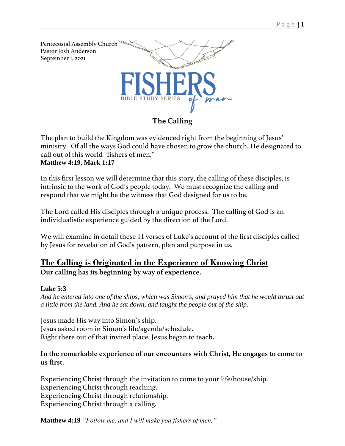

## **The Calling**

The plan to build the Kingdom was evidenced right from the beginning of Jesus' ministry. Of all the ways God could have chosen to grow the church, He designated to call out of this world "fishers of men." **Matthew 4:19, Mark 1:17** 

In this first lesson we will determine that this story, the calling of these disciples, is intrinsic to the work of God's people today. We must recognize the calling and respond that we might be the witness that God designed for us to be.

The Lord called His disciples through a unique process. The calling of God is an individualistic experience guided by the direction of the Lord.

We will examine in detail these 11 verses of Luke's account of the first disciples called by Jesus for revelation of God's pattern, plan and purpose in us.

# **The Calling is Originated in the Experience of Knowing Christ Our calling has its beginning by way of experience.**

### **[Luke](verseid:42.5.3) 5:3**

*And he entered into one of the ships, which was Simon's, and prayed him that he would thrust out a little from the land. And he sat down, and taught the people out of the ship.*

Jesus made His way into Simon's ship. Jesus asked room in Simon's life/agenda/schedule. Right there out of that invited place, Jesus began to teach.

### **In the remarkable experience of our encounters with Christ, He engages to come to us first.**

Experiencing Christ through the invitation to come to your life/house/ship. Experiencing Christ through teaching. Experiencing Christ through relationship. Experiencing Christ through a calling.

**Matthew 4:19** *"Follow me, and I will make you fishers of men."*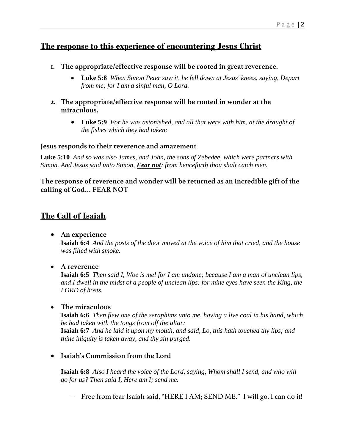# **The response to this experience of encountering Jesus Christ**

- **1. The appropriate/effective response will be rooted in great reverence.**
	- **Luke 5:8** *When Simon Peter saw it, he fell down at Jesus' knees, saying, Depart from me; for I am a sinful man, O Lord.*
- **2. The appropriate/effective response will be rooted in wonder at the miraculous.**
	- **Luke 5:9** *For he was astonished, and all that were with him, at the draught of the fishes which they had taken:*

### **Jesus responds to their reverence and amazement**

**Luke 5:10** *And so was also James, and John, the sons of Zebedee, which were partners with Simon. And Jesus said unto Simon, Fear not; from henceforth thou shalt catch men.*

**The response of reverence and wonder will be returned as an incredible gift of the calling of God… FEAR NOT**

# **The Call of Isaiah**

• **An experience** 

**Isaiah 6:4** *And the posts of the door moved at the voice of him that cried, and the house was filled with smoke.*

• **A reverence**

**Isaiah 6:5** *Then said I, Woe is me! for I am undone; because I am a man of unclean lips, and I dwell in the midst of a people of unclean lips: for mine eyes have seen the King, the LORD of hosts.*

• **The miraculous**

**Isaiah 6:6** *Then flew one of the seraphims unto me, having a live coal in his hand, which he had taken with the tongs from off the altar:* **Isaiah 6:7** *And he laid it upon my mouth, and said, Lo, this hath touched thy lips; and thine iniquity is taken away, and thy sin purged.*

• **Isaiah's Commission from the Lord**

**Isaiah 6:8** *Also I heard the voice of the Lord, saying, Whom shall I send, and who will go for us? Then said I, Here am I; send me.* 

− Free from fear Isaiah said, "HERE I AM; SEND ME." I will go, I can do it!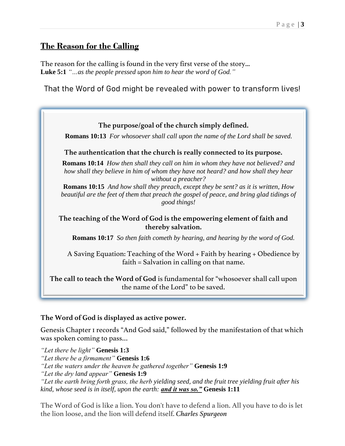## **The Reason for the Calling**

The reason for the calling is found in the very first verse of the story... **Luke 5:1** *"…as the people pressed upon him to hear the word of God."*

That the Word of God might be revealed with power to transform lives!



### **The Word of God is displayed as active power.**

Genesis Chapter 1 records "And God said," followed by the manifestation of that which was spoken coming to pass…

*"Let there be light"* **Genesis 1:3** *"Let there be a firmament"* **Genesis 1:6** *"Let the waters under the heaven be gathered together"* **Genesis 1:9** *"Let the dry land appear"* **Genesis 1:9** *"Let the earth bring forth grass, the herb yielding seed, and the fruit tree yielding fruit after his kind, whose seed is in itself, upon the earth: and it was so."* **Genesis 1:11**

The Word of God is like a lion. You don't have to defend a lion. All you have to do is let the lion loose, and the lion will defend itself. *Charles Spurgeon*